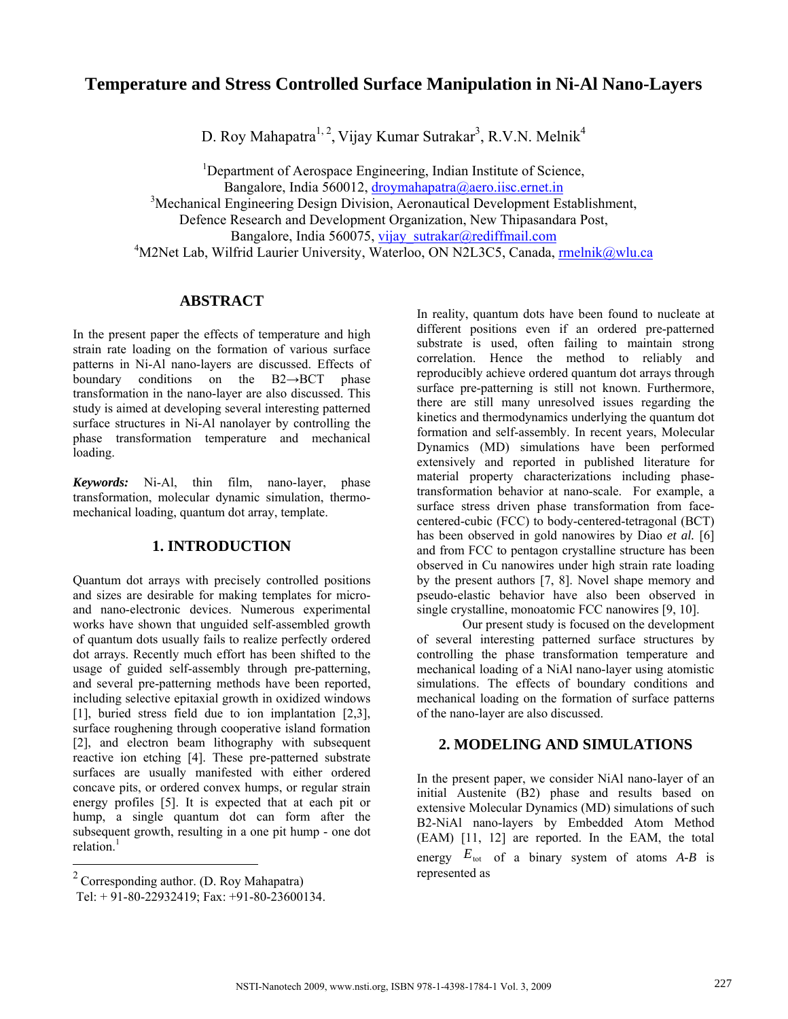# **Temperature and Stress Controlled Surface Manipulation in Ni-Al Nano-Layers**

D. Roy Mahapatra<sup>1, 2</sup>, Vijay Kumar Sutrakar<sup>3</sup>, R.V.N. Melnik<sup>4</sup>

<sup>1</sup>Department of Aerospace Engineering, Indian Institute of Science, Bangalore, India 560012, droymahapatra@aero.iisc.ernet.in

<sup>3</sup>Mechanical Engineering Design Division, Aeronautical Development Establishment,

Defence Research and Development Organization, New Thipasandara Post,

Bangalore, India 560075, vijay\_sutrakar@rediffmail.com

<sup>4</sup>M2Net Lab, Wilfrid Laurier University, Waterloo, ON N2L3C5, Canada, rmelnik@wlu.ca

## **ABSTRACT**

In the present paper the effects of temperature and high strain rate loading on the formation of various surface patterns in Ni-Al nano-layers are discussed. Effects of boundary conditions on the B2→BCT phase transformation in the nano-layer are also discussed. This study is aimed at developing several interesting patterned surface structures in Ni-Al nanolayer by controlling the phase transformation temperature and mechanical loading.

*Keywords:* Ni-Al, thin film, nano-layer, phase transformation, molecular dynamic simulation, thermomechanical loading, quantum dot array, template.

# **1. INTRODUCTION**

Quantum dot arrays with precisely controlled positions and sizes are desirable for making templates for microand nano-electronic devices. Numerous experimental works have shown that unguided self-assembled growth of quantum dots usually fails to realize perfectly ordered dot arrays. Recently much effort has been shifted to the usage of guided self-assembly through pre-patterning, and several pre-patterning methods have been reported, including selective epitaxial growth in oxidized windows [1], buried stress field due to ion implantation [2,3], surface roughening through cooperative island formation [2], and electron beam lithography with subsequent reactive ion etching [4]. These pre-patterned substrate surfaces are usually manifested with either ordered concave pits, or ordered convex humps, or regular strain energy profiles [5]. It is expected that at each pit or hump, a single quantum dot can form after the subsequent growth, resulting in a one pit hump - one dot relation. $<sup>1</sup>$ </sup>

 $\overline{a}$ 

In reality, quantum dots have been found to nucleate at different positions even if an ordered pre-patterned substrate is used, often failing to maintain strong correlation. Hence the method to reliably and reproducibly achieve ordered quantum dot arrays through surface pre-patterning is still not known. Furthermore, there are still many unresolved issues regarding the kinetics and thermodynamics underlying the quantum dot formation and self-assembly. In recent years, Molecular Dynamics (MD) simulations have been performed extensively and reported in published literature for material property characterizations including phasetransformation behavior at nano-scale. For example, a surface stress driven phase transformation from facecentered-cubic (FCC) to body-centered-tetragonal (BCT) has been observed in gold nanowires by Diao *et al.* [6] and from FCC to pentagon crystalline structure has been observed in Cu nanowires under high strain rate loading by the present authors [7, 8]. Novel shape memory and pseudo-elastic behavior have also been observed in single crystalline, monoatomic FCC nanowires [9, 10].

Our present study is focused on the development of several interesting patterned surface structures by controlling the phase transformation temperature and mechanical loading of a NiAl nano-layer using atomistic simulations. The effects of boundary conditions and mechanical loading on the formation of surface patterns of the nano-layer are also discussed.

#### **2. MODELING AND SIMULATIONS**

In the present paper, we consider NiAl nano-layer of an initial Austenite (B2) phase and results based on extensive Molecular Dynamics (MD) simulations of such B2-NiAl nano-layers by Embedded Atom Method (EAM) [11, 12] are reported. In the EAM, the total energy  $E_{\text{tot}}$  of a binary system of atoms  $A-B$  is represented as

 $2^2$  Corresponding author. (D. Roy Mahapatra)

Tel: + 91-80-22932419; Fax: +91-80-23600134.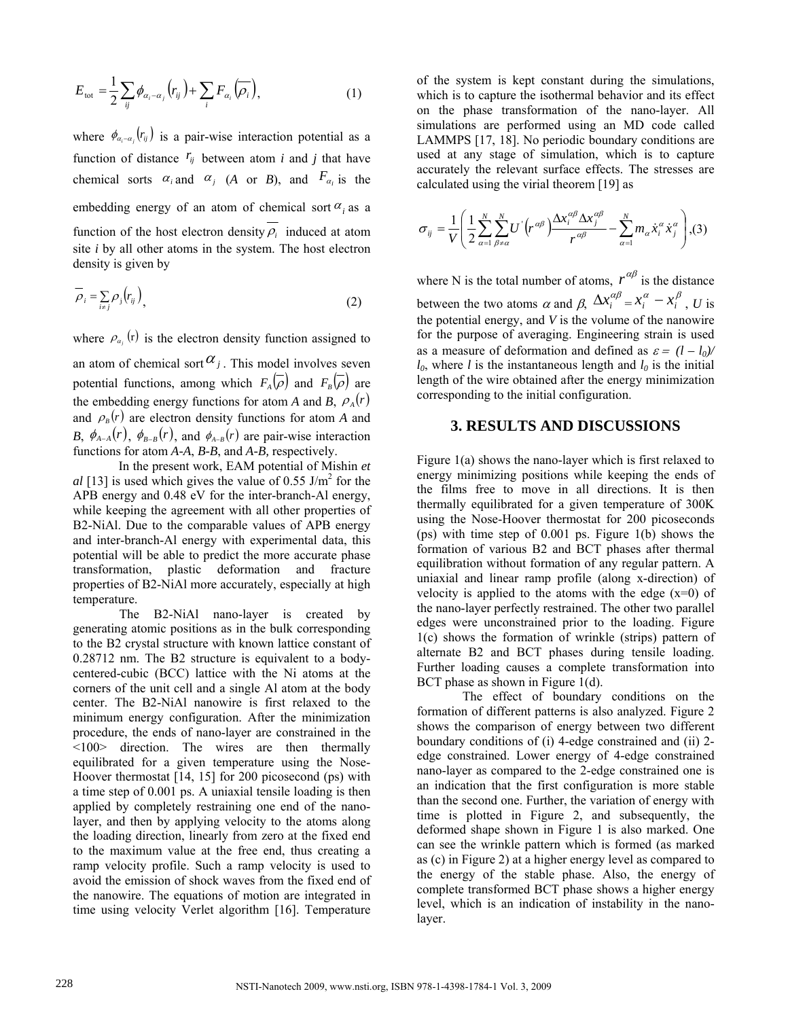$$
E_{\text{tot}} = \frac{1}{2} \sum_{ij} \phi_{\alpha_i - \alpha_j} (r_{ij}) + \sum_i F_{\alpha_i} (\overline{\rho_i}), \qquad (1)
$$

where  $\phi_{\alpha_i-\alpha_i}(r_{ij})$  is a pair-wise interaction potential as a function of distance  $r_{ij}$  between atom *i* and *j* that have chemical sorts  $\alpha_i$  and  $\alpha_j$  (*A* or *B*), and  $F_{\alpha_i}$  is the embedding energy of an atom of chemical sort  $\alpha_i$  as a function of the host electron density  $\rho_i$  induced at atom site *i* by all other atoms in the system. The host electron density is given by

$$
\overline{\rho}_i = \sum_{i \neq j} \rho_j \left( r_{ij} \right), \tag{2}
$$

where  $\rho_{\alpha_i}$  (r) is the electron density function assigned to an atom of chemical sort  $\alpha_j$ . This model involves seven potential functions, among which  $F_A(\overline{\rho})$  and  $F_B(\overline{\rho})$  are the embedding energy functions for atom *A* and *B*,  $\rho_A(r)$ and  $\rho_B(r)$  are electron density functions for atom *A* and *B*,  $\phi_{A-A}(r)$ ,  $\phi_{B-B}(r)$ , and  $\phi_{A-B}(r)$  are pair-wise interaction functions for atom *A-A*, *B-B*, and *A-B,* respectively.

 In the present work, EAM potential of Mishin *et*   $al$  [13] is used which gives the value of 0.55 J/m<sup>2</sup> for the APB energy and 0.48 eV for the inter-branch-Al energy, while keeping the agreement with all other properties of B2-NiAl. Due to the comparable values of APB energy and inter-branch-Al energy with experimental data, this potential will be able to predict the more accurate phase transformation, plastic deformation and fracture properties of B2-NiAl more accurately, especially at high temperature.

The B2-NiAl nano-layer is created by generating atomic positions as in the bulk corresponding to the B2 crystal structure with known lattice constant of 0.28712 nm. The B2 structure is equivalent to a bodycentered-cubic (BCC) lattice with the Ni atoms at the corners of the unit cell and a single Al atom at the body center. The B2-NiAl nanowire is first relaxed to the minimum energy configuration. After the minimization procedure, the ends of nano-layer are constrained in the <100> direction. The wires are then thermally equilibrated for a given temperature using the Nose-Hoover thermostat [14, 15] for 200 picosecond (ps) with a time step of 0.001 ps. A uniaxial tensile loading is then applied by completely restraining one end of the nanolayer, and then by applying velocity to the atoms along the loading direction, linearly from zero at the fixed end to the maximum value at the free end, thus creating a ramp velocity profile. Such a ramp velocity is used to avoid the emission of shock waves from the fixed end of the nanowire. The equations of motion are integrated in time using velocity Verlet algorithm [16]. Temperature of the system is kept constant during the simulations, which is to capture the isothermal behavior and its effect on the phase transformation of the nano-layer. All simulations are performed using an MD code called LAMMPS [17, 18]. No periodic boundary conditions are used at any stage of simulation, which is to capture accurately the relevant surface effects. The stresses are calculated using the virial theorem [19] as

$$
\sigma_{ij} = \frac{1}{V} \left( \frac{1}{2} \sum_{\alpha=1}^{N} \sum_{\beta \neq \alpha}^{N} U^{'} \left( r^{\alpha \beta} \right) \frac{\Delta x_i^{\alpha \beta} \Delta x_j^{\alpha \beta}}{r^{\alpha \beta}} - \sum_{\alpha=1}^{N} m_{\alpha} \dot{x}_i^{\alpha} \dot{x}_j^{\alpha} \right), (3)
$$

where N is the total number of atoms,  $r^{\alpha\beta}$  is the distance between the two atoms  $\alpha$  and  $\beta$ ,  $\Delta x_i^{\alpha\beta} = x_i^{\alpha} - x_i^{\beta}$ , *U* is the potential energy, and *V* is the volume of the nanowire for the purpose of averaging. Engineering strain is used as a measure of deformation and defined as  $\varepsilon = (l - l_0)$  $l_0$ , where *l* is the instantaneous length and  $l_0$  is the initial length of the wire obtained after the energy minimization corresponding to the initial configuration.

#### **3. RESULTS AND DISCUSSIONS**

Figure 1(a) shows the nano-layer which is first relaxed to energy minimizing positions while keeping the ends of the films free to move in all directions. It is then thermally equilibrated for a given temperature of 300K using the Nose-Hoover thermostat for 200 picoseconds (ps) with time step of 0.001 ps. Figure 1(b) shows the formation of various B2 and BCT phases after thermal equilibration without formation of any regular pattern. A uniaxial and linear ramp profile (along x-direction) of velocity is applied to the atoms with the edge  $(x=0)$  of the nano-layer perfectly restrained. The other two parallel edges were unconstrained prior to the loading. Figure 1(c) shows the formation of wrinkle (strips) pattern of alternate B2 and BCT phases during tensile loading. Further loading causes a complete transformation into BCT phase as shown in Figure 1(d).

The effect of boundary conditions on the formation of different patterns is also analyzed. Figure 2 shows the comparison of energy between two different boundary conditions of (i) 4-edge constrained and (ii) 2 edge constrained. Lower energy of 4-edge constrained nano-layer as compared to the 2-edge constrained one is an indication that the first configuration is more stable than the second one. Further, the variation of energy with time is plotted in Figure 2, and subsequently, the deformed shape shown in Figure 1 is also marked. One can see the wrinkle pattern which is formed (as marked as (c) in Figure 2) at a higher energy level as compared to the energy of the stable phase. Also, the energy of complete transformed BCT phase shows a higher energy level, which is an indication of instability in the nanolayer.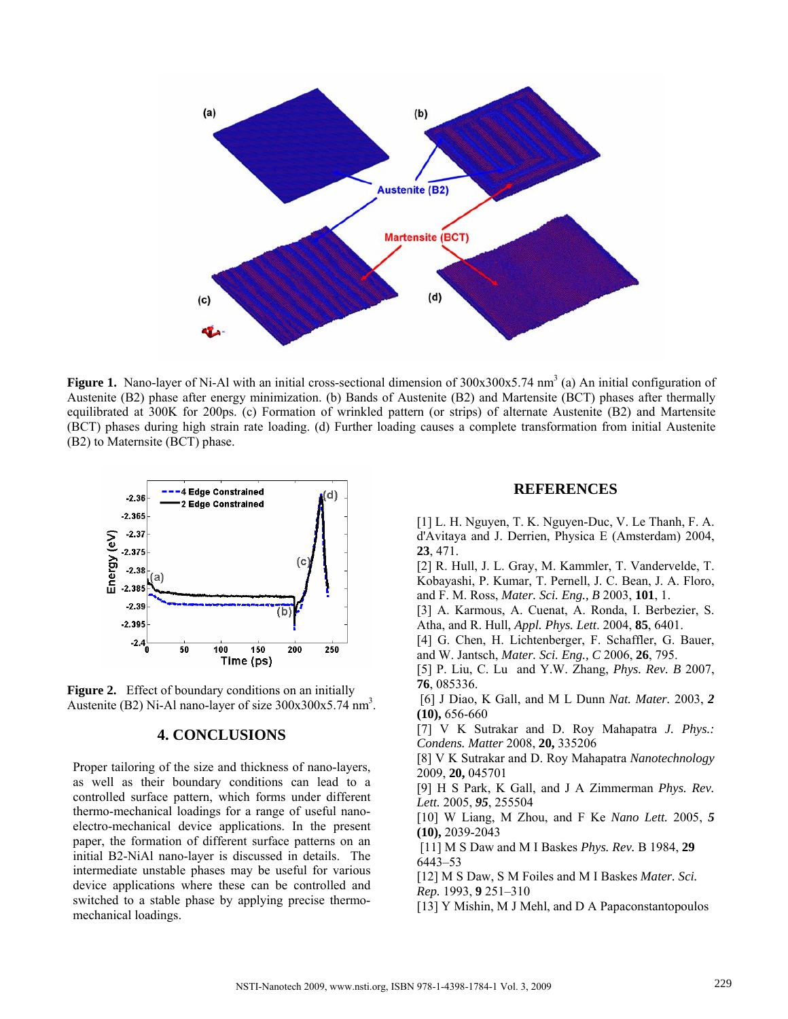

Figure 1. Nano-layer of Ni-Al with an initial cross-sectional dimension of 300x300x5.74 nm<sup>3</sup> (a) An initial configuration of Austenite (B2) phase after energy minimization. (b) Bands of Austenite (B2) and Martensite (BCT) phases after thermally equilibrated at 300K for 200ps. (c) Formation of wrinkled pattern (or strips) of alternate Austenite (B2) and Martensite (BCT) phases during high strain rate loading. (d) Further loading causes a complete transformation from initial Austenite (B2) to Maternsite (BCT) phase.



**Figure 2.** Effect of boundary conditions on an initially Austenite (B2) Ni-Al nano-layer of size  $300x300x5.74$  nm<sup>3</sup>.

## **4. CONCLUSIONS**

Proper tailoring of the size and thickness of nano-layers, as well as their boundary conditions can lead to a controlled surface pattern, which forms under different thermo-mechanical loadings for a range of useful nanoelectro-mechanical device applications. In the present paper, the formation of different surface patterns on an initial B2-NiAl nano-layer is discussed in details. The intermediate unstable phases may be useful for various device applications where these can be controlled and switched to a stable phase by applying precise thermomechanical loadings.

#### **REFERENCES**

[1] L. H. Nguyen, T. K. Nguyen-Duc, V. Le Thanh, F. A. d'Avitaya and J. Derrien, Physica E (Amsterdam) 2004, **23**, 471.

[2] R. Hull, J. L. Gray, M. Kammler, T. Vandervelde, T. Kobayashi, P. Kumar, T. Pernell, J. C. Bean, J. A. Floro, and F. M. Ross, *Mater. Sci. Eng., B* 2003, **101**, 1.

[3] A. Karmous, A. Cuenat, A. Ronda, I. Berbezier, S. Atha, and R. Hull, *Appl. Phys. Lett*. 2004, **85**, 6401.

[4] G. Chen, H. Lichtenberger, F. Schaffler, G. Bauer, and W. Jantsch, *Mater. Sci. Eng., C* 2006, **26**, 795.

[5] P. Liu, C. Lu and Y.W. Zhang, *Phys. Rev. B* 2007, **76**, 085336.

 [6] J Diao, K Gall, and M L Dunn *Nat. Mater.* 2003, *2* **(10),** 656-660

[7] V K Sutrakar and D. Roy Mahapatra *J. Phys.: Condens. Matter* 2008, **20,** 335206

[8] V K Sutrakar and D. Roy Mahapatra *Nanotechnology*  2009, **20,** 045701

[9] H S Park, K Gall, and J A Zimmerman *Phys. Rev. Lett.* 2005, *95*, 255504

[10] W Liang, M Zhou, and F Ke *Nano Lett.* 2005, *5* **(10),** 2039-2043

 [11] M S Daw and M I Baskes *Phys. Rev.* B 1984, **29**  6443–53

[12] M S Daw, S M Foiles and M I Baskes *Mater. Sci. Rep.* 1993, **9** 251–310

[13] Y Mishin, M J Mehl, and D A Papaconstantopoulos